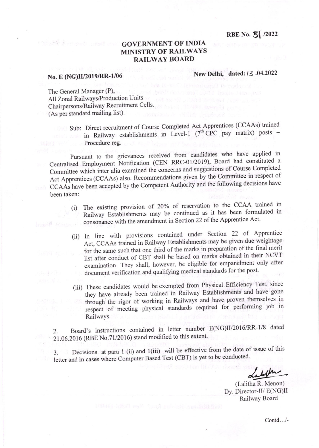RBE No. 5 /2022

# GOVERNMENT OF INDIA MINISTRY OF RAILWAYS RAILWAY BOARD

# No. E (NG)II/2019/RR-1/06 New Delhi, dated: /3 .04.2022

Constant Constant

The General Manager (P). All Zonal Railways/Production Units Chairpersons/Railway Recruitment Cells' (As per standard mailing list).

Sub: Direct recruitment of Course Completed Act Apprentices (CCAAs) trained in Railway establishments in Level-1  $(7^{th}$  CPC pay matrix) posts -Procedure reg.

Pursuant to the grievances received from candidates who have applied in Centralised Employment Notification (CEN RRC-01/2019), Board had constituted a Committee which inter alia examined the concerns and suggestions of Course Completed Act Apprentices (CCAAs) also. Recommendations given by the Committee in respect of CCAAs have been accepted by the Competent Authority and the following decisions have been taken:

- (i) The existing provision of 20% of reservation to the CCAA trained in Railway Establishments may be continued as it has been formulated in consonance with the amendment in Section 22 of the Apprentice Act. been de se alle
	- (ii) ln line with provisions contained. under Section 22 of Apprentice Act, CCAAs trained in Railway Establishments may be given\_due weightage for the same such that one third of the marks in preparation of the final merit list after conduct of CBT shall be based on marks obtained in their NCVT examination. They shall, however, be eligible for empanelment only after document verification and qualifying medical standards for the post.
	- (iii) These candidates would be exempted from Physical Efficiency Test, since they have already been trained in Railway Establishments and have gone through the rigor of working in Railways and have proven themselves in respect of meeting physical standards required for performing job in Railways.

2. Board's instructions contained in letter number E(NG)II/2016/RR-1/8 dated 21.06.2016 (RBE No.71/2016) stand modified to this extent.

3. Decisions at para 1 (ii) and 1(iii) will be effective from the date of issue of this letter and in cases where Computer Based Test (CBT) is yet to be conducted.

/\*"

(Lalitha R. Menon) Dy. Director-Il/ E(NG)Il Railway Board

Contd.. ./-